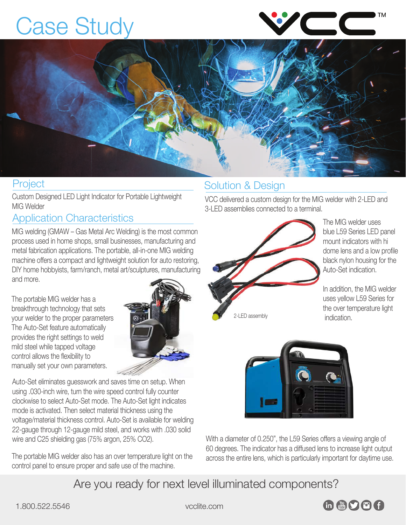# Case Study





Custom Designed LED Light Indicator for Portable Lightweight MIG Welder

### Application Characteristics

MIG welding (GMAW – Gas Metal Arc Welding) is the most common process used in home shops, small businesses, manufacturing and metal fabrication applications. The portable, all-in-one MIG welding machine offers a compact and lightweight solution for auto restoring, DIY home hobbyists, farm/ranch, metal art/sculptures, manufacturing and more.

The portable MIG welder has a breakthrough technology that sets your welder to the proper parameters. The Auto-Set feature automatically provides the right settings to weld mild steel while tapped voltage control allows the flexibility to manually set your own parameters.



Auto-Set eliminates guesswork and saves time on setup. When using .030-inch wire, turn the wire speed control fully counter clockwise to select Auto-Set mode. The Auto-Set light indicates mode is activated. Then select material thickness using the voltage/material thickness control. Auto-Set is available for welding 22-gauge through 12-gauge mild steel, and works with .030 solid wire and C25 shielding gas (75% argon, 25% CO2).

The portable MIG welder also has an over temperature light on the control panel to ensure proper and safe use of the machine.

### Project **Solution & Design**

VCC delivered a custom design for the MIG welder with 2-LED and 3-LED assemblies connected to a terminal.



The MIG welder uses blue [L59 Series](https://www.vcclite.com/product-category/panel-mount-indicators/led-panel-mount-indicator-panel-mount-indicators/l59-series-led-panel-mount-indicator-panel-mount-indicators/) LED panel mount indicators with hi dome lens and a low profile black nylon housing for the Auto-Set indication.

In addition, the MIG welder uses yellow L59 Series for the over temperature light

indication. 2-LED assembly



With a diameter of 0.250", the [L59 Series](https://www.vcclite.com/product-category/panel-mount-indicators/led-panel-mount-indicator-panel-mount-indicators/l59-series-led-panel-mount-indicator-panel-mount-indicators/) offers a viewing angle of 60 degrees. The indicator has a diffused lens to increase light output across the entire lens, which is particularly important for daytime use.

Are you ready for next level illuminated components?